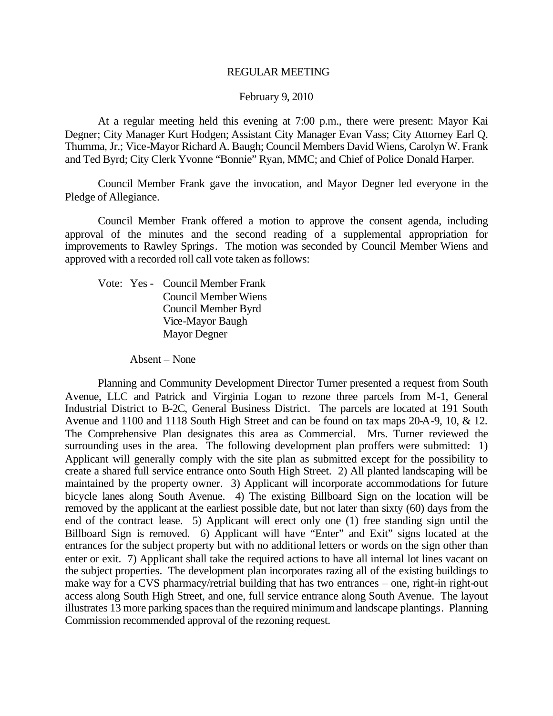#### REGULAR MEETING

#### February 9, 2010

At a regular meeting held this evening at 7:00 p.m., there were present: Mayor Kai Degner; City Manager Kurt Hodgen; Assistant City Manager Evan Vass; City Attorney Earl Q. Thumma, Jr.; Vice-Mayor Richard A. Baugh; Council Members David Wiens, Carolyn W. Frank and Ted Byrd; City Clerk Yvonne "Bonnie" Ryan, MMC; and Chief of Police Donald Harper.

Council Member Frank gave the invocation, and Mayor Degner led everyone in the Pledge of Allegiance.

Council Member Frank offered a motion to approve the consent agenda, including approval of the minutes and the second reading of a supplemental appropriation for improvements to Rawley Springs. The motion was seconded by Council Member Wiens and approved with a recorded roll call vote taken as follows:

Vote: Yes - Council Member Frank Council Member Wiens Council Member Byrd Vice-Mayor Baugh Mayor Degner

Absent – None

Planning and Community Development Director Turner presented a request from South Avenue, LLC and Patrick and Virginia Logan to rezone three parcels from M-1, General Industrial District to B-2C, General Business District. The parcels are located at 191 South Avenue and 1100 and 1118 South High Street and can be found on tax maps 20-A-9, 10, & 12. The Comprehensive Plan designates this area as Commercial. Mrs. Turner reviewed the surrounding uses in the area. The following development plan proffers were submitted: 1) Applicant will generally comply with the site plan as submitted except for the possibility to create a shared full service entrance onto South High Street. 2) All planted landscaping will be maintained by the property owner. 3) Applicant will incorporate accommodations for future bicycle lanes along South Avenue. 4) The existing Billboard Sign on the location will be removed by the applicant at the earliest possible date, but not later than sixty (60) days from the end of the contract lease. 5) Applicant will erect only one (1) free standing sign until the Billboard Sign is removed. 6) Applicant will have "Enter" and Exit" signs located at the entrances for the subject property but with no additional letters or words on the sign other than enter or exit. 7) Applicant shall take the required actions to have all internal lot lines vacant on the subject properties. The development plan incorporates razing all of the existing buildings to make way for a CVS pharmacy/retrial building that has two entrances – one, right-in right-out access along South High Street, and one, full service entrance along South Avenue. The layout illustrates 13 more parking spaces than the required minimumand landscape plantings. Planning Commission recommended approval of the rezoning request.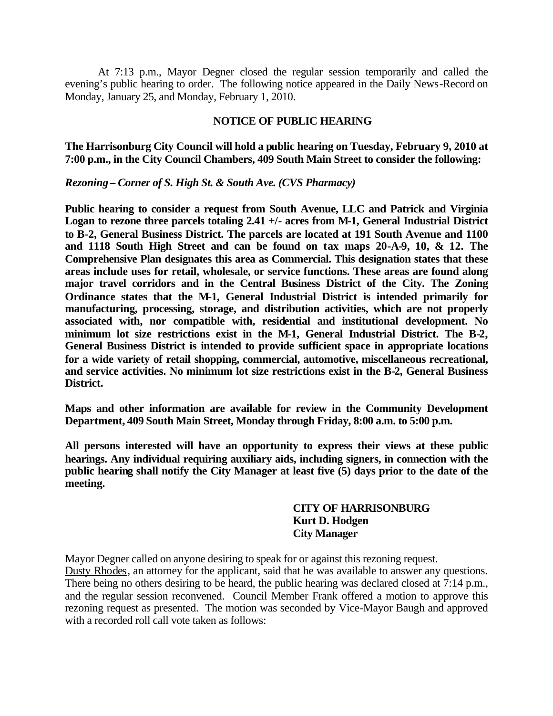At 7:13 p.m., Mayor Degner closed the regular session temporarily and called the evening's public hearing to order. The following notice appeared in the Daily News-Record on Monday, January 25, and Monday, February 1, 2010.

#### **NOTICE OF PUBLIC HEARING**

**The Harrisonburg City Council will hold a public hearing on Tuesday, February 9, 2010 at 7:00 p.m., in the City Council Chambers, 409 South Main Street to consider the following:**

*Rezoning – Corner of S. High St. & South Ave. (CVS Pharmacy)*

**Public hearing to consider a request from South Avenue, LLC and Patrick and Virginia Logan to rezone three parcels totaling 2.41 +/- acres from M-1, General Industrial District to B-2, General Business District. The parcels are located at 191 South Avenue and 1100 and 1118 South High Street and can be found on tax maps 20-A-9, 10, & 12. The Comprehensive Plan designates this area as Commercial. This designation states that these areas include uses for retail, wholesale, or service functions. These areas are found along major travel corridors and in the Central Business District of the City. The Zoning Ordinance states that the M-1, General Industrial District is intended primarily for manufacturing, processing, storage, and distribution activities, which are not properly associated with, nor compatible with, residential and institutional development. No minimum lot size restrictions exist in the M-1, General Industrial District. The B-2, General Business District is intended to provide sufficient space in appropriate locations for a wide variety of retail shopping, commercial, automotive, miscellaneous recreational, and service activities. No minimum lot size restrictions exist in the B-2, General Business District.**

**Maps and other information are available for review in the Community Development Department, 409 South Main Street, Monday through Friday, 8:00 a.m. to 5:00 p.m.**

**All persons interested will have an opportunity to express their views at these public hearings. Any individual requiring auxiliary aids, including signers, in connection with the public hearing shall notify the City Manager at least five (5) days prior to the date of the meeting.**

# **CITY OF HARRISONBURG Kurt D. Hodgen City Manager**

Mayor Degner called on anyone desiring to speak for or against this rezoning request. Dusty Rhodes, an attorney for the applicant, said that he was available to answer any questions. There being no others desiring to be heard, the public hearing was declared closed at 7:14 p.m., and the regular session reconvened. Council Member Frank offered a motion to approve this rezoning request as presented. The motion was seconded by Vice-Mayor Baugh and approved with a recorded roll call vote taken as follows: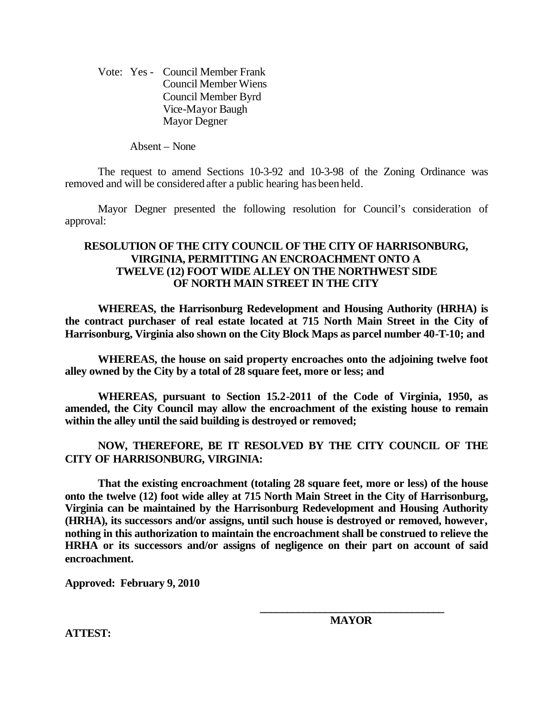Vote: Yes - Council Member Frank Council Member Wiens Council Member Byrd Vice-Mayor Baugh Mayor Degner

Absent – None

The request to amend Sections 10-3-92 and 10-3-98 of the Zoning Ordinance was removed and will be considered after a public hearing has been held.

Mayor Degner presented the following resolution for Council's consideration of approval:

#### **RESOLUTION OF THE CITY COUNCIL OF THE CITY OF HARRISONBURG, VIRGINIA, PERMITTING AN ENCROACHMENT ONTO A TWELVE (12) FOOT WIDE ALLEY ON THE NORTHWEST SIDE OF NORTH MAIN STREET IN THE CITY**

**WHEREAS, the Harrisonburg Redevelopment and Housing Authority (HRHA) is the contract purchaser of real estate located at 715 North Main Street in the City of Harrisonburg, Virginia also shown on the City Block Maps as parcel number 40-T-10; and**

**WHEREAS, the house on said property encroaches onto the adjoining twelve foot alley owned by the City by a total of 28 square feet, more or less; and**

**WHEREAS, pursuant to Section 15.2-2011 of the Code of Virginia, 1950, as amended, the City Council may allow the encroachment of the existing house to remain within the alley until the said building is destroyed or removed;**

## **NOW, THEREFORE, BE IT RESOLVED BY THE CITY COUNCIL OF THE CITY OF HARRISONBURG, VIRGINIA:**

**That the existing encroachment (totaling 28 square feet, more or less) of the house onto the twelve (12) foot wide alley at 715 North Main Street in the City of Harrisonburg, Virginia can be maintained by the Harrisonburg Redevelopment and Housing Authority (HRHA), its successors and/or assigns, until such house is destroyed or removed, however, nothing in this authorization to maintain the encroachment shall be construed to relieve the HRHA or its successors and/or assigns of negligence on their part on account of said encroachment.**

**Approved: February 9, 2010**

**ATTEST:**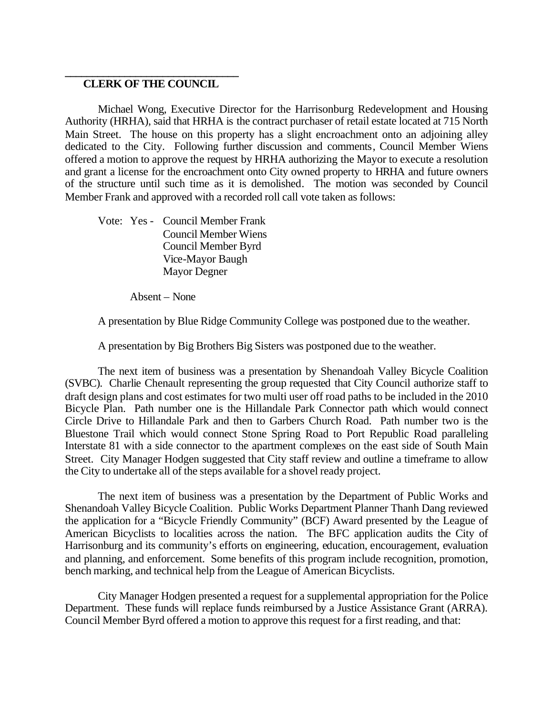#### **\_\_\_\_\_\_\_\_\_\_\_\_\_\_\_\_\_\_\_\_\_\_\_\_\_\_\_\_\_\_\_\_ CLERK OF THE COUNCIL**

Michael Wong, Executive Director for the Harrisonburg Redevelopment and Housing Authority (HRHA), said that HRHA is the contract purchaser of retail estate located at 715 North Main Street. The house on this property has a slight encroachment onto an adjoining alley dedicated to the City. Following further discussion and comments, Council Member Wiens offered a motion to approve the request by HRHA authorizing the Mayor to execute a resolution and grant a license for the encroachment onto City owned property to HRHA and future owners of the structure until such time as it is demolished. The motion was seconded by Council Member Frank and approved with a recorded roll call vote taken as follows:

Vote: Yes - Council Member Frank Council Member Wiens Council Member Byrd Vice-Mayor Baugh Mayor Degner

Absent – None

A presentation by Blue Ridge Community College was postponed due to the weather.

A presentation by Big Brothers Big Sisters was postponed due to the weather.

The next item of business was a presentation by Shenandoah Valley Bicycle Coalition (SVBC). Charlie Chenault representing the group requested that City Council authorize staff to draft design plans and cost estimates for two multi user off road paths to be included in the 2010 Bicycle Plan. Path number one is the Hillandale Park Connector path which would connect Circle Drive to Hillandale Park and then to Garbers Church Road. Path number two is the Bluestone Trail which would connect Stone Spring Road to Port Republic Road paralleling Interstate 81 with a side connector to the apartment complexes on the east side of South Main Street. City Manager Hodgen suggested that City staff review and outline a timeframe to allow the City to undertake all of the steps available for a shovel ready project.

The next item of business was a presentation by the Department of Public Works and Shenandoah Valley Bicycle Coalition. Public Works Department Planner Thanh Dang reviewed the application for a "Bicycle Friendly Community" (BCF) Award presented by the League of American Bicyclists to localities across the nation. The BFC application audits the City of Harrisonburg and its community's efforts on engineering, education, encouragement, evaluation and planning, and enforcement. Some benefits of this program include recognition, promotion, bench marking, and technical help from the League of American Bicyclists.

City Manager Hodgen presented a request for a supplemental appropriation for the Police Department. These funds will replace funds reimbursed by a Justice Assistance Grant (ARRA). Council Member Byrd offered a motion to approve this request for a first reading, and that: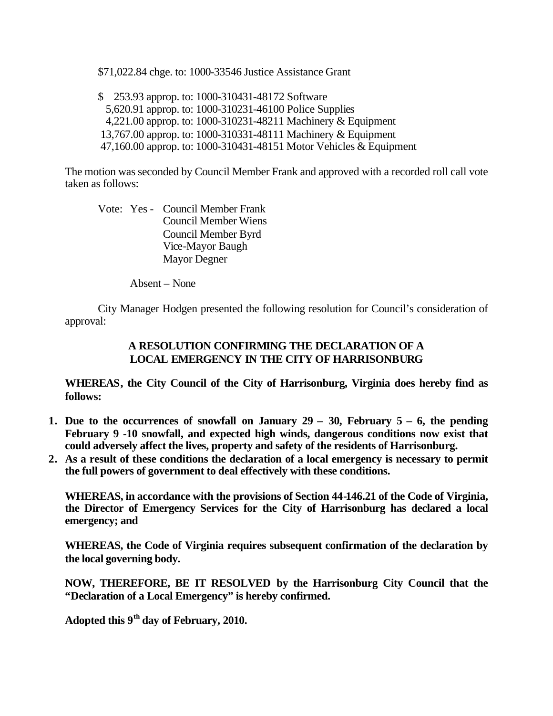\$71,022.84 chge. to: 1000-33546 Justice Assistance Grant

\$ 253.93 approp. to: 1000-310431-48172 Software 5,620.91 approp. to: 1000-310231-46100 Police Supplies 4,221.00 approp. to: 1000-310231-48211 Machinery & Equipment 13,767.00 approp. to: 1000-310331-48111 Machinery & Equipment 47,160.00 approp. to: 1000-310431-48151 Motor Vehicles & Equipment

The motion was seconded by Council Member Frank and approved with a recorded roll call vote taken as follows:

Vote: Yes - Council Member Frank Council Member Wiens Council Member Byrd Vice-Mayor Baugh Mayor Degner

Absent – None

City Manager Hodgen presented the following resolution for Council's consideration of approval:

## **A RESOLUTION CONFIRMING THE DECLARATION OF A LOCAL EMERGENCY IN THE CITY OF HARRISONBURG**

**WHEREAS, the City Council of the City of Harrisonburg, Virginia does hereby find as follows:**

- **1. Due to the occurrences of snowfall on January 29 – 30, February 5 – 6, the pending February 9 -10 snowfall, and expected high winds, dangerous conditions now exist that could adversely affect the lives, property and safety of the residents of Harrisonburg.**
- **2. As a result of these conditions the declaration of a local emergency is necessary to permit the full powers of government to deal effectively with these conditions.**

**WHEREAS, in accordance with the provisions of Section 44-146.21 of the Code of Virginia, the Director of Emergency Services for the City of Harrisonburg has declared a local emergency; and** 

**WHEREAS, the Code of Virginia requires subsequent confirmation of the declaration by the local governing body.**

**NOW, THEREFORE, BE IT RESOLVED by the Harrisonburg City Council that the "Declaration of a Local Emergency" is hereby confirmed.**

**Adopted this 9th day of February, 2010.**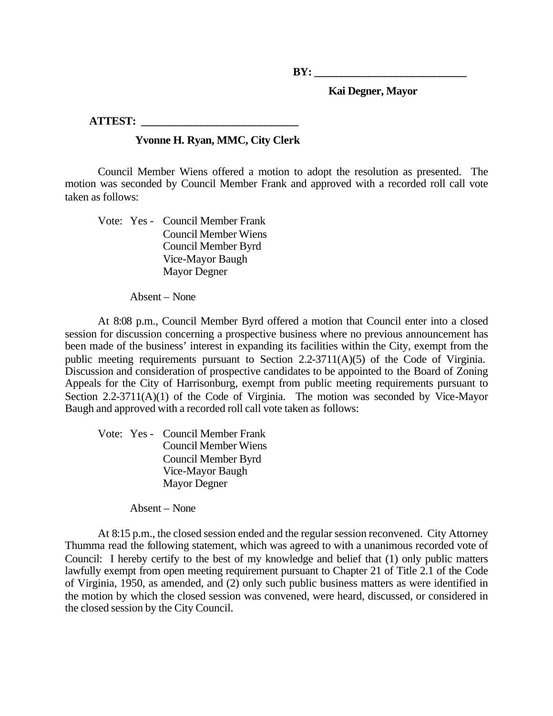**BY:**  $\blacksquare$ 

 **Kai Degner, Mayor**

**ATTEST: \_\_\_\_\_\_\_\_\_\_\_\_\_\_\_\_\_\_\_\_\_\_\_\_\_\_\_\_\_**

# **Yvonne H. Ryan, MMC, City Clerk**

Council Member Wiens offered a motion to adopt the resolution as presented. The motion was seconded by Council Member Frank and approved with a recorded roll call vote taken as follows:

Vote: Yes - Council Member Frank Council Member Wiens Council Member Byrd Vice-Mayor Baugh Mayor Degner

Absent – None

At 8:08 p.m., Council Member Byrd offered a motion that Council enter into a closed session for discussion concerning a prospective business where no previous announcement has been made of the business' interest in expanding its facilities within the City, exempt from the public meeting requirements pursuant to Section 2.2-3711(A)(5) of the Code of Virginia. Discussion and consideration of prospective candidates to be appointed to the Board of Zoning Appeals for the City of Harrisonburg, exempt from public meeting requirements pursuant to Section 2.2-3711(A)(1) of the Code of Virginia. The motion was seconded by Vice-Mayor Baugh and approved with a recorded roll call vote taken as follows:

Vote: Yes - Council Member Frank Council Member Wiens Council Member Byrd Vice-Mayor Baugh Mayor Degner

Absent – None

At 8:15 p.m., the closed session ended and the regular session reconvened. City Attorney Thumma read the following statement, which was agreed to with a unanimous recorded vote of Council: I hereby certify to the best of my knowledge and belief that (1) only public matters lawfully exempt from open meeting requirement pursuant to Chapter 21 of Title 2.1 of the Code of Virginia, 1950, as amended, and (2) only such public business matters as were identified in the motion by which the closed session was convened, were heard, discussed, or considered in the closed session by the City Council.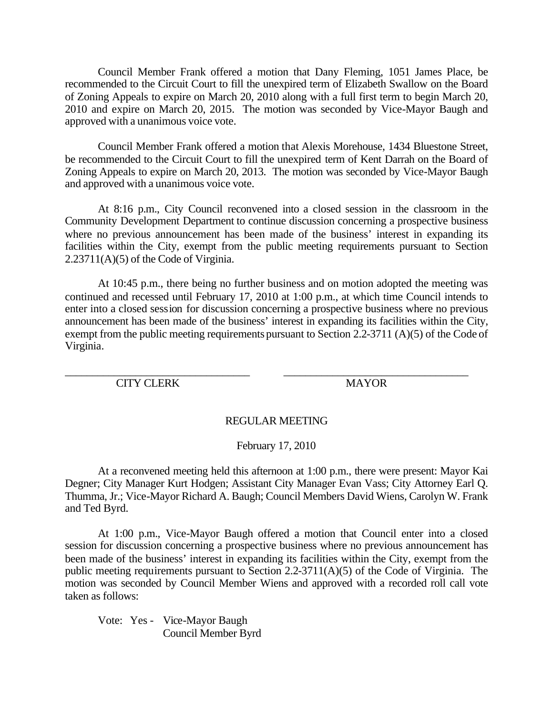Council Member Frank offered a motion that Dany Fleming, 1051 James Place, be recommended to the Circuit Court to fill the unexpired term of Elizabeth Swallow on the Board of Zoning Appeals to expire on March 20, 2010 along with a full first term to begin March 20, 2010 and expire on March 20, 2015. The motion was seconded by Vice-Mayor Baugh and approved with a unanimous voice vote.

Council Member Frank offered a motion that Alexis Morehouse, 1434 Bluestone Street, be recommended to the Circuit Court to fill the unexpired term of Kent Darrah on the Board of Zoning Appeals to expire on March 20, 2013. The motion was seconded by Vice-Mayor Baugh and approved with a unanimous voice vote.

At 8:16 p.m., City Council reconvened into a closed session in the classroom in the Community Development Department to continue discussion concerning a prospective business where no previous announcement has been made of the business' interest in expanding its facilities within the City, exempt from the public meeting requirements pursuant to Section 2.23711(A)(5) of the Code of Virginia.

At 10:45 p.m., there being no further business and on motion adopted the meeting was continued and recessed until February 17, 2010 at 1:00 p.m., at which time Council intends to enter into a closed session for discussion concerning a prospective business where no previous announcement has been made of the business' interest in expanding its facilities within the City, exempt from the public meeting requirements pursuant to Section 2.2-3711 (A)(5) of the Code of Virginia.

CITY CLERK MAYOR

\_\_\_\_\_\_\_\_\_\_\_\_\_\_\_\_\_\_\_\_\_\_\_\_\_\_\_\_\_\_\_\_\_\_ \_\_\_\_\_\_\_\_\_\_\_\_\_\_\_\_\_\_\_\_\_\_\_\_\_\_\_\_\_\_\_\_\_\_

## REGULAR MEETING

February 17, 2010

At a reconvened meeting held this afternoon at 1:00 p.m., there were present: Mayor Kai Degner; City Manager Kurt Hodgen; Assistant City Manager Evan Vass; City Attorney Earl Q. Thumma, Jr.; Vice-Mayor Richard A. Baugh; Council Members David Wiens, Carolyn W. Frank and Ted Byrd.

At 1:00 p.m., Vice-Mayor Baugh offered a motion that Council enter into a closed session for discussion concerning a prospective business where no previous announcement has been made of the business' interest in expanding its facilities within the City, exempt from the public meeting requirements pursuant to Section 2.2-3711(A)(5) of the Code of Virginia. The motion was seconded by Council Member Wiens and approved with a recorded roll call vote taken as follows:

Vote: Yes - Vice-Mayor Baugh Council Member Byrd